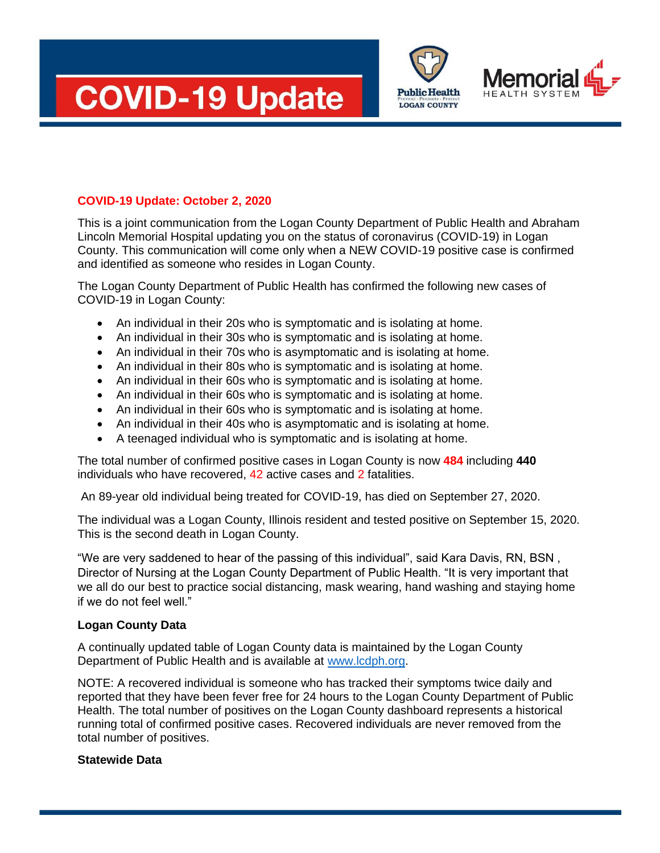





## **COVID-19 Update: October 2, 2020**

This is a joint communication from the Logan County Department of Public Health and Abraham Lincoln Memorial Hospital updating you on the status of coronavirus (COVID-19) in Logan County. This communication will come only when a NEW COVID-19 positive case is confirmed and identified as someone who resides in Logan County.

The Logan County Department of Public Health has confirmed the following new cases of COVID-19 in Logan County:

- An individual in their 20s who is symptomatic and is isolating at home.
- An individual in their 30s who is symptomatic and is isolating at home.
- An individual in their 70s who is asymptomatic and is isolating at home.
- An individual in their 80s who is symptomatic and is isolating at home.
- An individual in their 60s who is symptomatic and is isolating at home.
- An individual in their 60s who is symptomatic and is isolating at home.
- An individual in their 60s who is symptomatic and is isolating at home.
- An individual in their 40s who is asymptomatic and is isolating at home.
- A teenaged individual who is symptomatic and is isolating at home.

The total number of confirmed positive cases in Logan County is now **484** including **440**  individuals who have recovered, 42 active cases and 2 fatalities.

An 89-year old individual being treated for COVID-19, has died on September 27, 2020.

The individual was a Logan County, Illinois resident and tested positive on September 15, 2020. This is the second death in Logan County.

"We are very saddened to hear of the passing of this individual", said Kara Davis, RN, BSN , Director of Nursing at the Logan County Department of Public Health. "It is very important that we all do our best to practice social distancing, mask wearing, hand washing and staying home if we do not feel well."

## **Logan County Data**

A continually updated table of Logan County data is maintained by the Logan County Department of Public Health and is available at [www.lcdph.org.](http://www.lcdph.org/)

NOTE: A recovered individual is someone who has tracked their symptoms twice daily and reported that they have been fever free for 24 hours to the Logan County Department of Public Health. The total number of positives on the Logan County dashboard represents a historical running total of confirmed positive cases. Recovered individuals are never removed from the total number of positives.

## **Statewide Data**